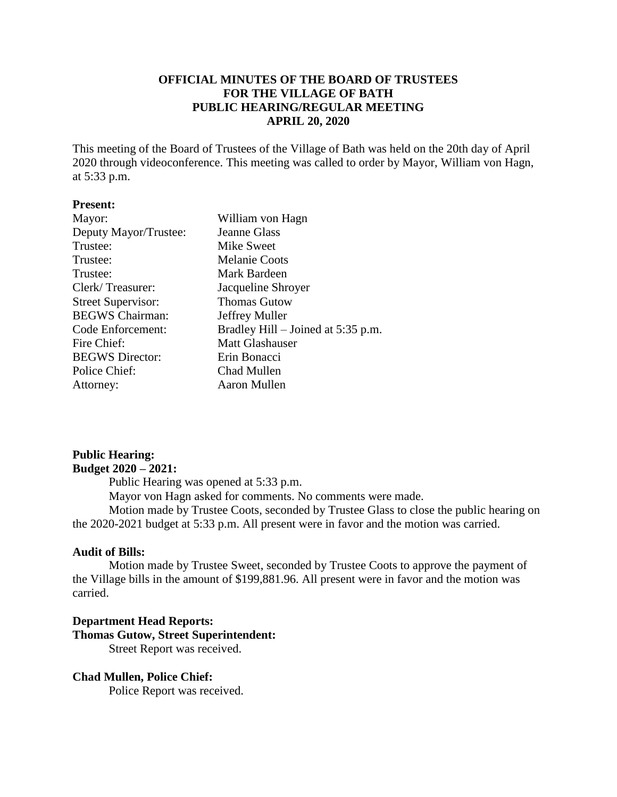# **OFFICIAL MINUTES OF THE BOARD OF TRUSTEES FOR THE VILLAGE OF BATH PUBLIC HEARING/REGULAR MEETING APRIL 20, 2020**

This meeting of the Board of Trustees of the Village of Bath was held on the 20th day of April 2020 through videoconference. This meeting was called to order by Mayor, William von Hagn, at 5:33 p.m.

#### **Present:**

| Mayor:                    | William von Hagn                   |
|---------------------------|------------------------------------|
| Deputy Mayor/Trustee:     | <b>Jeanne Glass</b>                |
| Trustee:                  | Mike Sweet                         |
| Trustee:                  | <b>Melanie Coots</b>               |
| Trustee:                  | Mark Bardeen                       |
| Clerk/Treasurer:          | Jacqueline Shroyer                 |
| <b>Street Supervisor:</b> | <b>Thomas Gutow</b>                |
| <b>BEGWS</b> Chairman:    | Jeffrey Muller                     |
| Code Enforcement:         | Bradley Hill – Joined at 5:35 p.m. |
| Fire Chief:               | <b>Matt Glashauser</b>             |
| <b>BEGWS</b> Director:    | Erin Bonacci                       |
| Police Chief:             | Chad Mullen                        |
| Attorney:                 | Aaron Mullen                       |

## **Public Hearing: Budget 2020 – 2021:**

Public Hearing was opened at 5:33 p.m. Mayor von Hagn asked for comments. No comments were made. Motion made by Trustee Coots, seconded by Trustee Glass to close the public hearing on the 2020-2021 budget at 5:33 p.m. All present were in favor and the motion was carried.

## **Audit of Bills:**

Motion made by Trustee Sweet, seconded by Trustee Coots to approve the payment of the Village bills in the amount of \$199,881.96. All present were in favor and the motion was carried.

# **Department Head Reports: Thomas Gutow, Street Superintendent:** Street Report was received.

## **Chad Mullen, Police Chief:**

Police Report was received.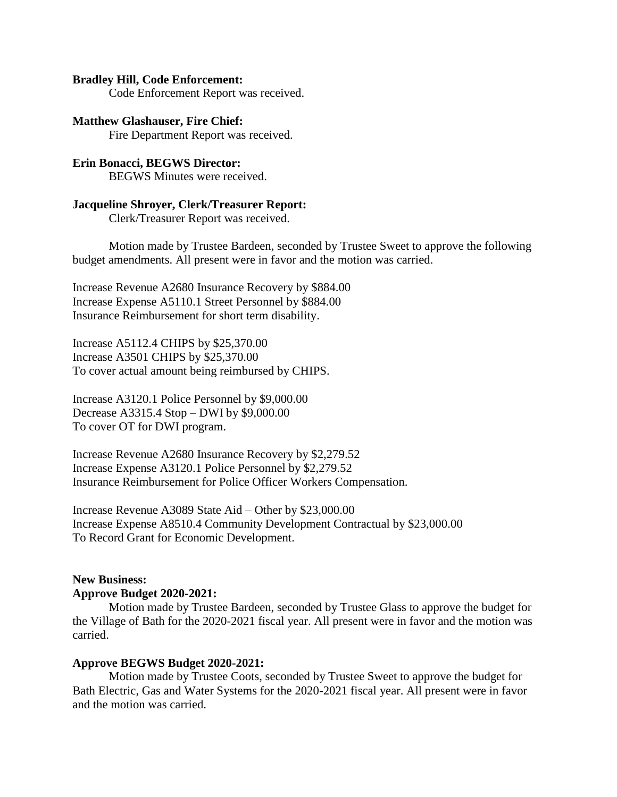#### **Bradley Hill, Code Enforcement:**

Code Enforcement Report was received.

#### **Matthew Glashauser, Fire Chief:**

Fire Department Report was received.

# **Erin Bonacci, BEGWS Director:**

BEGWS Minutes were received.

## **Jacqueline Shroyer, Clerk/Treasurer Report:**

Clerk/Treasurer Report was received.

Motion made by Trustee Bardeen, seconded by Trustee Sweet to approve the following budget amendments. All present were in favor and the motion was carried.

Increase Revenue A2680 Insurance Recovery by \$884.00 Increase Expense A5110.1 Street Personnel by \$884.00 Insurance Reimbursement for short term disability.

Increase A5112.4 CHIPS by \$25,370.00 Increase A3501 CHIPS by \$25,370.00 To cover actual amount being reimbursed by CHIPS.

Increase A3120.1 Police Personnel by \$9,000.00 Decrease A3315.4 Stop – DWI by \$9,000.00 To cover OT for DWI program.

Increase Revenue A2680 Insurance Recovery by \$2,279.52 Increase Expense A3120.1 Police Personnel by \$2,279.52 Insurance Reimbursement for Police Officer Workers Compensation.

Increase Revenue A3089 State Aid – Other by \$23,000.00 Increase Expense A8510.4 Community Development Contractual by \$23,000.00 To Record Grant for Economic Development.

#### **New Business: Approve Budget 2020-2021:**

Motion made by Trustee Bardeen, seconded by Trustee Glass to approve the budget for the Village of Bath for the 2020-2021 fiscal year. All present were in favor and the motion was carried.

#### **Approve BEGWS Budget 2020-2021:**

Motion made by Trustee Coots, seconded by Trustee Sweet to approve the budget for Bath Electric, Gas and Water Systems for the 2020-2021 fiscal year. All present were in favor and the motion was carried.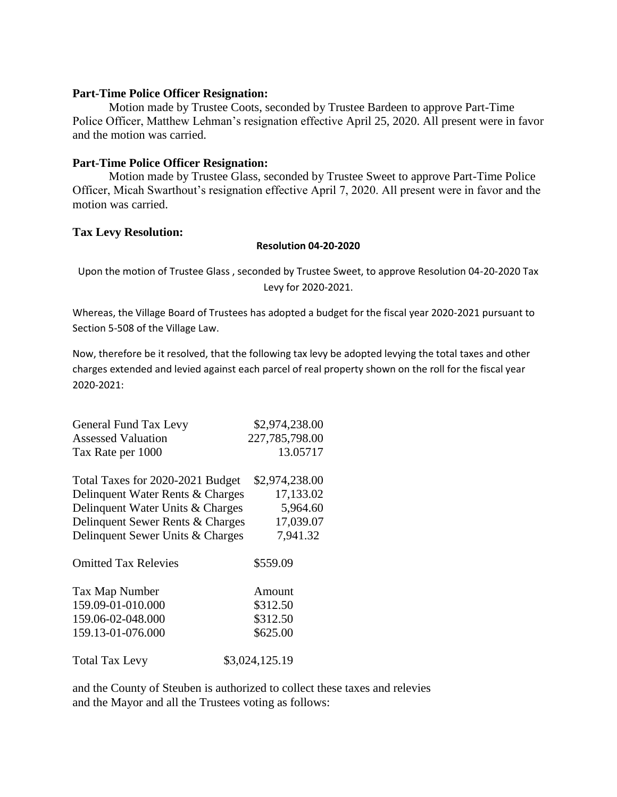## **Part-Time Police Officer Resignation:**

Motion made by Trustee Coots, seconded by Trustee Bardeen to approve Part-Time Police Officer, Matthew Lehman's resignation effective April 25, 2020. All present were in favor and the motion was carried.

## **Part-Time Police Officer Resignation:**

Motion made by Trustee Glass, seconded by Trustee Sweet to approve Part-Time Police Officer, Micah Swarthout's resignation effective April 7, 2020. All present were in favor and the motion was carried.

## **Tax Levy Resolution:**

## **Resolution 04-20-2020**

Upon the motion of Trustee Glass , seconded by Trustee Sweet, to approve Resolution 04-20-2020 Tax Levy for 2020-2021.

Whereas, the Village Board of Trustees has adopted a budget for the fiscal year 2020-2021 pursuant to Section 5-508 of the Village Law.

Now, therefore be it resolved, that the following tax levy be adopted levying the total taxes and other charges extended and levied against each parcel of real property shown on the roll for the fiscal year 2020-2021:

| <b>General Fund Tax Levy</b>     | \$2,974,238.00 |
|----------------------------------|----------------|
| Assessed Valuation               | 227,785,798.00 |
| Tax Rate per 1000                | 13.05717       |
| Total Taxes for 2020-2021 Budget | \$2,974,238.00 |
| Delinquent Water Rents & Charges | 17,133.02      |
| Delinquent Water Units & Charges | 5,964.60       |
| Delinquent Sewer Rents & Charges | 17,039.07      |
| Delinquent Sewer Units & Charges | 7,941.32       |
| <b>Omitted Tax Relevies</b>      | \$559.09       |
| Tax Map Number                   | Amount         |
| 159.09-01-010.000                | \$312.50       |
| 159.06-02-048.000                | \$312.50       |
| 159.13-01-076.000                | \$625.00       |
| <b>Total Tax Levy</b>            | \$3,024,125.19 |
|                                  |                |

and the County of Steuben is authorized to collect these taxes and relevies and the Mayor and all the Trustees voting as follows: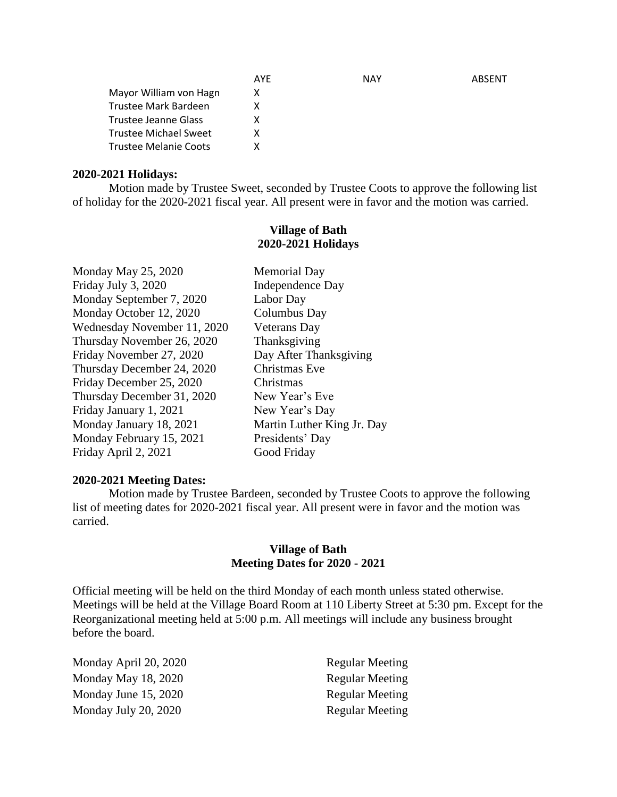|                              | AYE | <b>NAY</b> | ABSENT |
|------------------------------|-----|------------|--------|
| Mayor William von Hagn       | x   |            |        |
| Trustee Mark Bardeen         |     |            |        |
| Trustee Jeanne Glass         |     |            |        |
| Trustee Michael Sweet        |     |            |        |
| <b>Trustee Melanie Coots</b> |     |            |        |

## **2020-2021 Holidays:**

Motion made by Trustee Sweet, seconded by Trustee Coots to approve the following list of holiday for the 2020-2021 fiscal year. All present were in favor and the motion was carried.

## **Village of Bath 2020-2021 Holidays**

Monday May 25, 2020 Memorial Day Friday July 3, 2020 Independence Day Monday September 7, 2020 Labor Day Monday October 12, 2020 Columbus Day Wednesday November 11, 2020 Veterans Day Thursday November 26, 2020 Thanksgiving Friday November 27, 2020 Day After Thanksgiving Thursday December 24, 2020 Christmas Eve Friday December 25, 2020 Christmas Thursday December 31, 2020 New Year's Eve Friday January 1, 2021 New Year's Day Monday January 18, 2021 Martin Luther King Jr. Day Monday February 15, 2021 Presidents' Day Friday April 2, 2021 Good Friday

## **2020-2021 Meeting Dates:**

Motion made by Trustee Bardeen, seconded by Trustee Coots to approve the following list of meeting dates for 2020-2021 fiscal year. All present were in favor and the motion was carried.

## **Village of Bath Meeting Dates for 2020 - 2021**

Official meeting will be held on the third Monday of each month unless stated otherwise. Meetings will be held at the Village Board Room at 110 Liberty Street at 5:30 pm. Except for the Reorganizational meeting held at 5:00 p.m. All meetings will include any business brought before the board.

Monday April 20, 2020 Regular Meeting Monday May 18, 2020 Regular Meeting Monday June 15, 2020 Regular Meeting Monday July 20, 2020 Regular Meeting